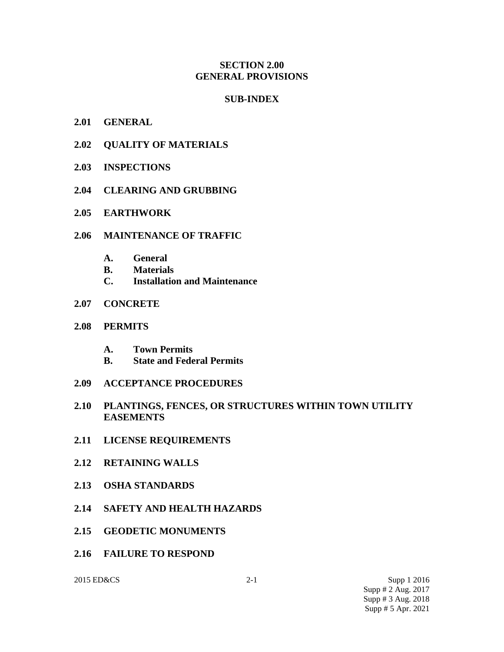### **SECTION 2.00 GENERAL PROVISIONS**

### **SUB-INDEX**

- **2.01 GENERAL**
- **2.02 QUALITY OF MATERIALS**
- **2.03 INSPECTIONS**
- **2.04 CLEARING AND GRUBBING**
- **2.05 EARTHWORK**
- **2.06 MAINTENANCE OF TRAFFIC**
	- **A. General**
	- **B. Materials**
	- **C. Installation and Maintenance**
- **2.07 CONCRETE**
- **2.08 PERMITS**
	- **A. Town Permits**
	- **B. State and Federal Permits**
- **2.09 ACCEPTANCE PROCEDURES**
- **2.10 PLANTINGS, FENCES, OR STRUCTURES WITHIN TOWN UTILITY EASEMENTS**
- **2.11 LICENSE REQUIREMENTS**
- **2.12 RETAINING WALLS**
- **2.13 OSHA STANDARDS**
- **2.14 SAFETY AND HEALTH HAZARDS**
- **2.15 GEODETIC MONUMENTS**
- **2.16 FAILURE TO RESPOND**

2015 ED&CS 2-1 Supp 1 2016 Supp # 2 Aug. 2017 Supp # 3 Aug. 2018 Supp # 5 Apr. 2021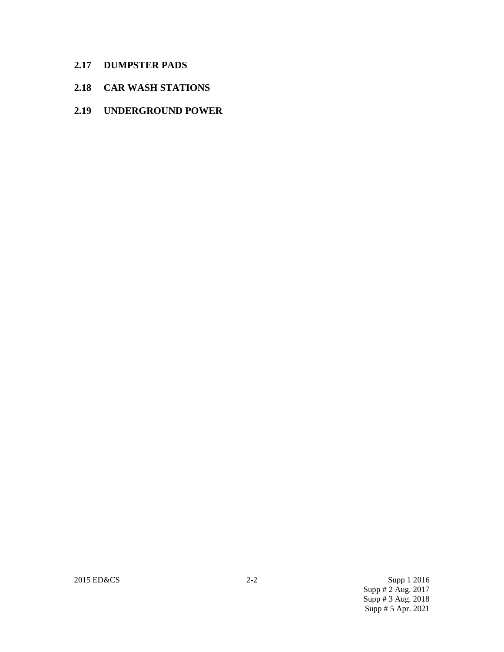- **2.17 DUMPSTER PADS**
- **2.18 CAR WASH STATIONS**
- **2.19 UNDERGROUND POWER**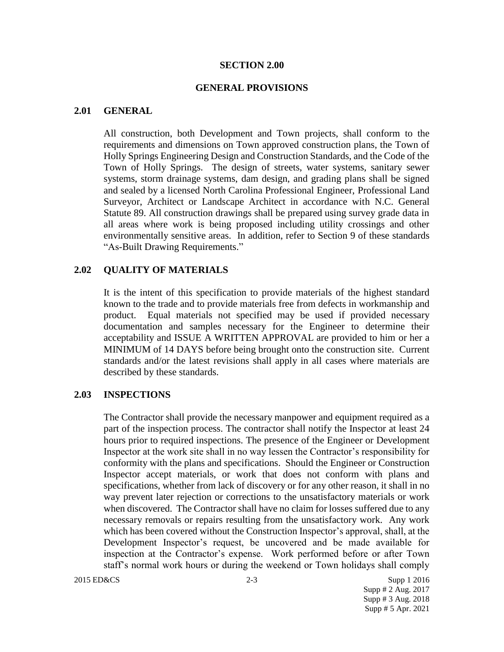### **SECTION 2.00**

### **GENERAL PROVISIONS**

### **2.01 GENERAL**

All construction, both Development and Town projects, shall conform to the requirements and dimensions on Town approved construction plans, the Town of Holly Springs Engineering Design and Construction Standards, and the Code of the Town of Holly Springs. The design of streets, water systems, sanitary sewer systems, storm drainage systems, dam design, and grading plans shall be signed and sealed by a licensed North Carolina Professional Engineer, Professional Land Surveyor, Architect or Landscape Architect in accordance with N.C. General Statute 89. All construction drawings shall be prepared using survey grade data in all areas where work is being proposed including utility crossings and other environmentally sensitive areas. In addition, refer to Section 9 of these standards "As-Built Drawing Requirements."

### **2.02 QUALITY OF MATERIALS**

It is the intent of this specification to provide materials of the highest standard known to the trade and to provide materials free from defects in workmanship and product. Equal materials not specified may be used if provided necessary documentation and samples necessary for the Engineer to determine their acceptability and ISSUE A WRITTEN APPROVAL are provided to him or her a MINIMUM of 14 DAYS before being brought onto the construction site. Current standards and/or the latest revisions shall apply in all cases where materials are described by these standards.

### **2.03 INSPECTIONS**

The Contractor shall provide the necessary manpower and equipment required as a part of the inspection process. The contractor shall notify the Inspector at least 24 hours prior to required inspections. The presence of the Engineer or Development Inspector at the work site shall in no way lessen the Contractor's responsibility for conformity with the plans and specifications. Should the Engineer or Construction Inspector accept materials, or work that does not conform with plans and specifications, whether from lack of discovery or for any other reason, it shall in no way prevent later rejection or corrections to the unsatisfactory materials or work when discovered. The Contractor shall have no claim for losses suffered due to any necessary removals or repairs resulting from the unsatisfactory work. Any work which has been covered without the Construction Inspector's approval, shall, at the Development Inspector's request, be uncovered and be made available for inspection at the Contractor's expense. Work performed before or after Town staff's normal work hours or during the weekend or Town holidays shall comply

2015 ED&CS 2-3 Supp 1 2016 Supp # 2 Aug. 2017 Supp # 3 Aug. 2018 Supp # 5 Apr. 2021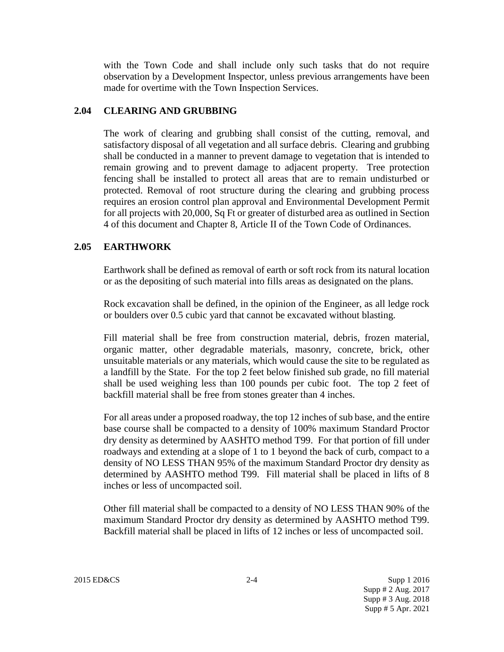with the Town Code and shall include only such tasks that do not require observation by a Development Inspector, unless previous arrangements have been made for overtime with the Town Inspection Services.

## **2.04 CLEARING AND GRUBBING**

The work of clearing and grubbing shall consist of the cutting, removal, and satisfactory disposal of all vegetation and all surface debris. Clearing and grubbing shall be conducted in a manner to prevent damage to vegetation that is intended to remain growing and to prevent damage to adjacent property. Tree protection fencing shall be installed to protect all areas that are to remain undisturbed or protected. Removal of root structure during the clearing and grubbing process requires an erosion control plan approval and Environmental Development Permit for all projects with 20,000, Sq Ft or greater of disturbed area as outlined in Section 4 of this document and Chapter 8, Article II of the Town Code of Ordinances.

## **2.05 EARTHWORK**

Earthwork shall be defined as removal of earth or soft rock from its natural location or as the depositing of such material into fills areas as designated on the plans.

Rock excavation shall be defined, in the opinion of the Engineer, as all ledge rock or boulders over 0.5 cubic yard that cannot be excavated without blasting.

Fill material shall be free from construction material, debris, frozen material, organic matter, other degradable materials, masonry, concrete, brick, other unsuitable materials or any materials, which would cause the site to be regulated as a landfill by the State. For the top 2 feet below finished sub grade, no fill material shall be used weighing less than 100 pounds per cubic foot. The top 2 feet of backfill material shall be free from stones greater than 4 inches.

For all areas under a proposed roadway, the top 12 inches of sub base, and the entire base course shall be compacted to a density of 100% maximum Standard Proctor dry density as determined by AASHTO method T99. For that portion of fill under roadways and extending at a slope of 1 to 1 beyond the back of curb, compact to a density of NO LESS THAN 95% of the maximum Standard Proctor dry density as determined by AASHTO method T99. Fill material shall be placed in lifts of 8 inches or less of uncompacted soil.

Other fill material shall be compacted to a density of NO LESS THAN 90% of the maximum Standard Proctor dry density as determined by AASHTO method T99. Backfill material shall be placed in lifts of 12 inches or less of uncompacted soil.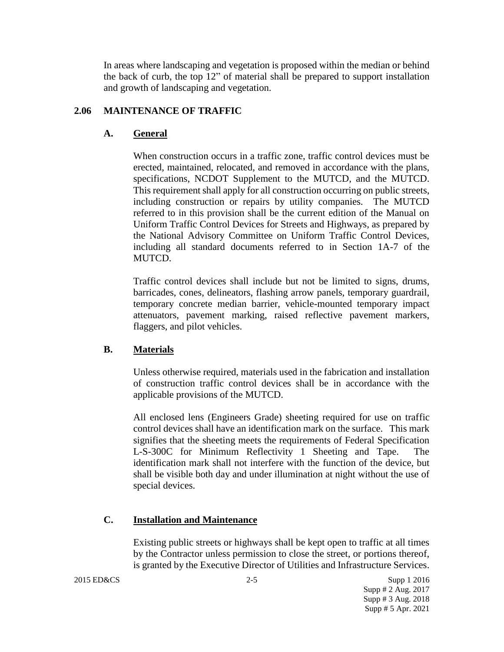In areas where landscaping and vegetation is proposed within the median or behind the back of curb, the top 12" of material shall be prepared to support installation and growth of landscaping and vegetation.

## **2.06 MAINTENANCE OF TRAFFIC**

## **A. General**

When construction occurs in a traffic zone, traffic control devices must be erected, maintained, relocated, and removed in accordance with the plans, specifications, NCDOT Supplement to the MUTCD, and the MUTCD. This requirement shall apply for all construction occurring on public streets, including construction or repairs by utility companies. The MUTCD referred to in this provision shall be the current edition of the Manual on Uniform Traffic Control Devices for Streets and Highways, as prepared by the National Advisory Committee on Uniform Traffic Control Devices, including all standard documents referred to in Section 1A-7 of the MUTCD.

Traffic control devices shall include but not be limited to signs, drums, barricades, cones, delineators, flashing arrow panels, temporary guardrail, temporary concrete median barrier, vehicle-mounted temporary impact attenuators, pavement marking, raised reflective pavement markers, flaggers, and pilot vehicles.

### **B. Materials**

Unless otherwise required, materials used in the fabrication and installation of construction traffic control devices shall be in accordance with the applicable provisions of the MUTCD.

All enclosed lens (Engineers Grade) sheeting required for use on traffic control devices shall have an identification mark on the surface. This mark signifies that the sheeting meets the requirements of Federal Specification L-S-300C for Minimum Reflectivity 1 Sheeting and Tape. The identification mark shall not interfere with the function of the device, but shall be visible both day and under illumination at night without the use of special devices.

### **C. Installation and Maintenance**

Existing public streets or highways shall be kept open to traffic at all times by the Contractor unless permission to close the street, or portions thereof, is granted by the Executive Director of Utilities and Infrastructure Services.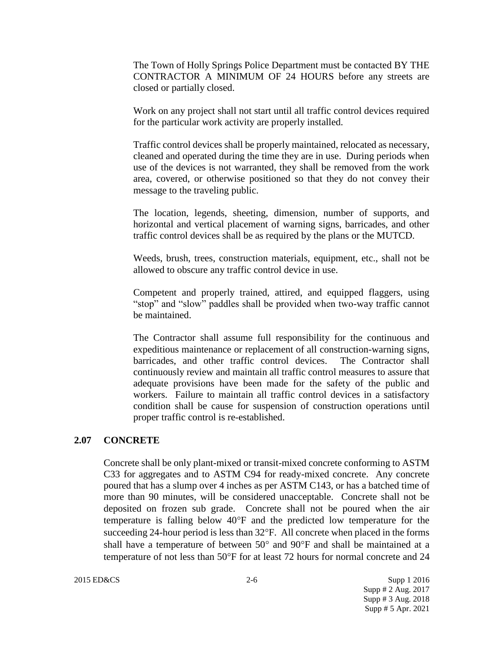The Town of Holly Springs Police Department must be contacted BY THE CONTRACTOR A MINIMUM OF 24 HOURS before any streets are closed or partially closed.

Work on any project shall not start until all traffic control devices required for the particular work activity are properly installed.

Traffic control devices shall be properly maintained, relocated as necessary, cleaned and operated during the time they are in use. During periods when use of the devices is not warranted, they shall be removed from the work area, covered, or otherwise positioned so that they do not convey their message to the traveling public.

The location, legends, sheeting, dimension, number of supports, and horizontal and vertical placement of warning signs, barricades, and other traffic control devices shall be as required by the plans or the MUTCD.

Weeds, brush, trees, construction materials, equipment, etc., shall not be allowed to obscure any traffic control device in use.

Competent and properly trained, attired, and equipped flaggers, using "stop" and "slow" paddles shall be provided when two-way traffic cannot be maintained.

The Contractor shall assume full responsibility for the continuous and expeditious maintenance or replacement of all construction-warning signs, barricades, and other traffic control devices. The Contractor shall continuously review and maintain all traffic control measures to assure that adequate provisions have been made for the safety of the public and workers. Failure to maintain all traffic control devices in a satisfactory condition shall be cause for suspension of construction operations until proper traffic control is re-established.

### **2.07 CONCRETE**

Concrete shall be only plant-mixed or transit-mixed concrete conforming to ASTM C33 for aggregates and to ASTM C94 for ready-mixed concrete. Any concrete poured that has a slump over 4 inches as per ASTM C143, or has a batched time of more than 90 minutes, will be considered unacceptable. Concrete shall not be deposited on frozen sub grade. Concrete shall not be poured when the air temperature is falling below  $40^{\circ}$ F and the predicted low temperature for the succeeding 24-hour period is less than  $32^{\circ}$ F. All concrete when placed in the forms shall have a temperature of between  $50^{\circ}$  and  $90^{\circ}$ F and shall be maintained at a temperature of not less than  $50^{\circ}$ F for at least 72 hours for normal concrete and 24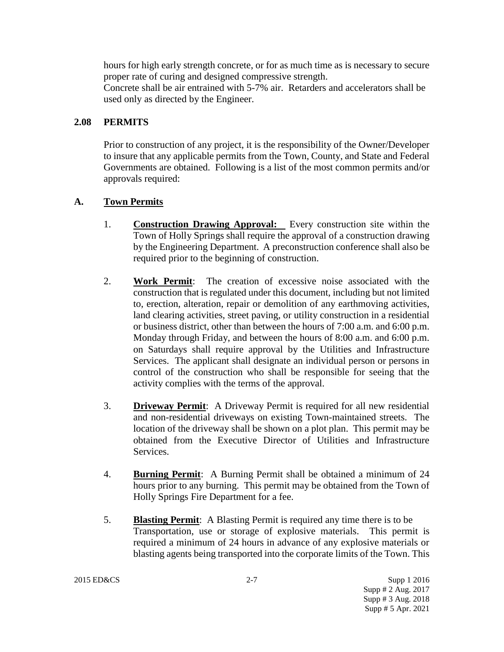hours for high early strength concrete, or for as much time as is necessary to secure proper rate of curing and designed compressive strength.

Concrete shall be air entrained with 5-7% air. Retarders and accelerators shall be used only as directed by the Engineer.

## **2.08 PERMITS**

Prior to construction of any project, it is the responsibility of the Owner/Developer to insure that any applicable permits from the Town, County, and State and Federal Governments are obtained. Following is a list of the most common permits and/or approvals required:

## **A. Town Permits**

- 1. **Construction Drawing Approval:** Every construction site within the Town of Holly Springs shall require the approval of a construction drawing by the Engineering Department. A preconstruction conference shall also be required prior to the beginning of construction.
- 2. **Work Permit**: The creation of excessive noise associated with the construction that is regulated under this document, including but not limited to, erection, alteration, repair or demolition of any earthmoving activities, land clearing activities, street paving, or utility construction in a residential or business district, other than between the hours of 7:00 a.m. and 6:00 p.m. Monday through Friday, and between the hours of 8:00 a.m. and 6:00 p.m. on Saturdays shall require approval by the Utilities and Infrastructure Services. The applicant shall designate an individual person or persons in control of the construction who shall be responsible for seeing that the activity complies with the terms of the approval.
- 3. **Driveway Permit**: A Driveway Permit is required for all new residential and non-residential driveways on existing Town-maintained streets. The location of the driveway shall be shown on a plot plan. This permit may be obtained from the Executive Director of Utilities and Infrastructure Services.
- 4. **Burning Permit**: A Burning Permit shall be obtained a minimum of 24 hours prior to any burning. This permit may be obtained from the Town of Holly Springs Fire Department for a fee.
- 5. **Blasting Permit**: A Blasting Permit is required any time there is to be Transportation, use or storage of explosive materials. This permit is required a minimum of 24 hours in advance of any explosive materials or blasting agents being transported into the corporate limits of the Town. This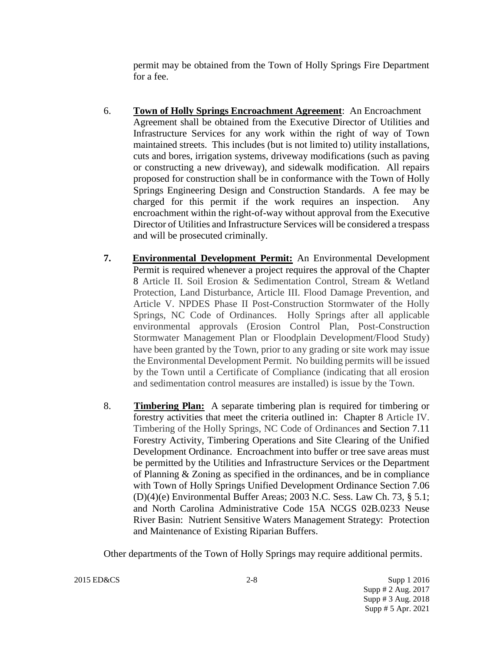permit may be obtained from the Town of Holly Springs Fire Department for a fee.

- 6. **Town of Holly Springs Encroachment Agreement**: An Encroachment Agreement shall be obtained from the Executive Director of Utilities and Infrastructure Services for any work within the right of way of Town maintained streets. This includes (but is not limited to) utility installations, cuts and bores, irrigation systems, driveway modifications (such as paving or constructing a new driveway), and sidewalk modification. All repairs proposed for construction shall be in conformance with the Town of Holly Springs Engineering Design and Construction Standards. A fee may be charged for this permit if the work requires an inspection. Any encroachment within the right-of-way without approval from the Executive Director of Utilities and Infrastructure Services will be considered a trespass and will be prosecuted criminally.
- **7. Environmental Development Permit:** An Environmental Development Permit is required whenever a project requires the approval of the Chapter 8 Article II. Soil Erosion & Sedimentation Control, Stream & Wetland Protection, Land Disturbance, Article III. Flood Damage Prevention, and Article V. NPDES Phase II Post-Construction Stormwater of the Holly Springs, NC Code of Ordinances. Holly Springs after all applicable environmental approvals (Erosion Control Plan, Post-Construction Stormwater Management Plan or Floodplain Development/Flood Study) have been granted by the Town, prior to any grading or site work may issue the Environmental Development Permit. No building permits will be issued by the Town until a Certificate of Compliance (indicating that all erosion and sedimentation control measures are installed) is issue by the Town.
- 8. **Timbering Plan:** A separate timbering plan is required for timbering or forestry activities that meet the criteria outlined in: Chapter 8 Article IV. Timbering of the Holly Springs, NC Code of Ordinances and Section 7.11 Forestry Activity, Timbering Operations and Site Clearing of the Unified Development Ordinance. Encroachment into buffer or tree save areas must be permitted by the Utilities and Infrastructure Services or the Department of Planning & Zoning as specified in the ordinances, and be in compliance with Town of Holly Springs Unified Development Ordinance Section 7.06 (D)(4)(e) Environmental Buffer Areas; 2003 N.C. Sess. Law Ch. 73, § 5.1; and North Carolina Administrative Code 15A NCGS 02B.0233 Neuse River Basin: Nutrient Sensitive Waters Management Strategy: Protection and Maintenance of Existing Riparian Buffers.

Other departments of the Town of Holly Springs may require additional permits.

2015 ED&CS 2-8 Supp 1 2016

 Supp # 2 Aug. 2017 Supp # 3 Aug. 2018 Supp # 5 Apr. 2021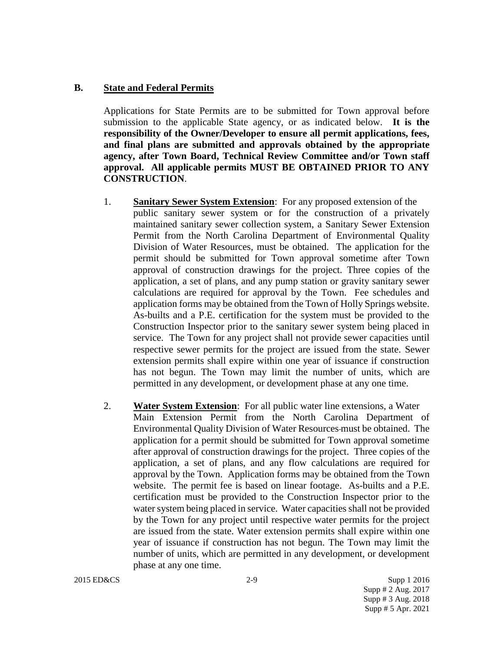## **B. State and Federal Permits**

Applications for State Permits are to be submitted for Town approval before submission to the applicable State agency, or as indicated below. **It is the responsibility of the Owner/Developer to ensure all permit applications, fees, and final plans are submitted and approvals obtained by the appropriate agency, after Town Board, Technical Review Committee and/or Town staff approval. All applicable permits MUST BE OBTAINED PRIOR TO ANY CONSTRUCTION**.

- 1. **Sanitary Sewer System Extension**: For any proposed extension of the public sanitary sewer system or for the construction of a privately maintained sanitary sewer collection system, a Sanitary Sewer Extension Permit from the North Carolina Department of Environmental Quality Division of Water Resources, must be obtained. The application for the permit should be submitted for Town approval sometime after Town approval of construction drawings for the project. Three copies of the application, a set of plans, and any pump station or gravity sanitary sewer calculations are required for approval by the Town. Fee schedules and application forms may be obtained from the Town of Holly Springs website. As-builts and a P.E. certification for the system must be provided to the Construction Inspector prior to the sanitary sewer system being placed in service. The Town for any project shall not provide sewer capacities until respective sewer permits for the project are issued from the state. Sewer extension permits shall expire within one year of issuance if construction has not begun. The Town may limit the number of units, which are permitted in any development, or development phase at any one time.
- 2. **Water System Extension**: For all public water line extensions, a Water Main Extension Permit from the North Carolina Department of Environmental Quality Division of Water Resources must be obtained. The application for a permit should be submitted for Town approval sometime after approval of construction drawings for the project. Three copies of the application, a set of plans, and any flow calculations are required for approval by the Town. Application forms may be obtained from the Town website. The permit fee is based on linear footage. As-builts and a P.E. certification must be provided to the Construction Inspector prior to the water system being placed in service. Water capacities shall not be provided by the Town for any project until respective water permits for the project are issued from the state. Water extension permits shall expire within one year of issuance if construction has not begun. The Town may limit the number of units, which are permitted in any development, or development phase at any one time.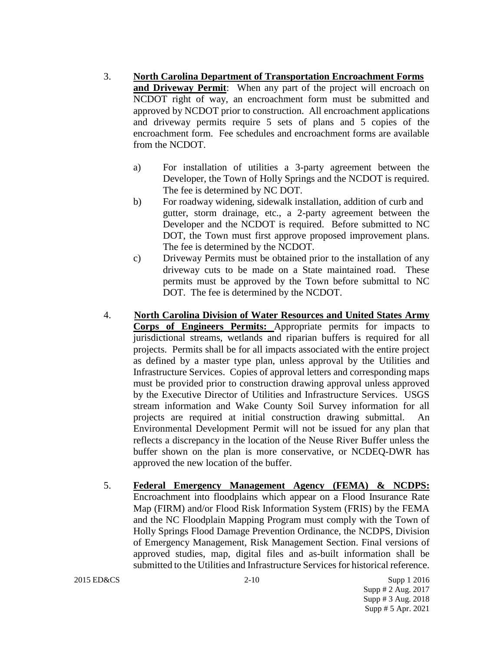- 3. **North Carolina Department of Transportation Encroachment Forms and Driveway Permit:** When any part of the project will encroach on NCDOT right of way, an encroachment form must be submitted and approved by NCDOT prior to construction. All encroachment applications and driveway permits require 5 sets of plans and 5 copies of the encroachment form. Fee schedules and encroachment forms are available from the NCDOT.
	- a) For installation of utilities a 3-party agreement between the Developer, the Town of Holly Springs and the NCDOT is required. The fee is determined by NC DOT.
	- b) For roadway widening, sidewalk installation, addition of curb and gutter, storm drainage, etc., a 2-party agreement between the Developer and the NCDOT is required. Before submitted to NC DOT, the Town must first approve proposed improvement plans. The fee is determined by the NCDOT.
	- c) Driveway Permits must be obtained prior to the installation of any driveway cuts to be made on a State maintained road. These permits must be approved by the Town before submittal to NC DOT. The fee is determined by the NCDOT.
- 4. **North Carolina Division of Water Resources and United States Army Corps of Engineers Permits:** Appropriate permits for impacts to jurisdictional streams, wetlands and riparian buffers is required for all projects. Permits shall be for all impacts associated with the entire project as defined by a master type plan, unless approval by the Utilities and Infrastructure Services. Copies of approval letters and corresponding maps must be provided prior to construction drawing approval unless approved by the Executive Director of Utilities and Infrastructure Services. USGS stream information and Wake County Soil Survey information for all projects are required at initial construction drawing submittal. An Environmental Development Permit will not be issued for any plan that reflects a discrepancy in the location of the Neuse River Buffer unless the buffer shown on the plan is more conservative, or NCDEQ-DWR has approved the new location of the buffer.
- 5. **Federal Emergency Management Agency (FEMA) & NCDPS:**  Encroachment into floodplains which appear on a Flood Insurance Rate Map (FIRM) and/or Flood Risk Information System (FRIS) by the FEMA and the NC Floodplain Mapping Program must comply with the Town of Holly Springs Flood Damage Prevention Ordinance, the NCDPS, Division of Emergency Management, Risk Management Section. Final versions of approved studies, map, digital files and as-built information shall be submitted to the Utilities and Infrastructure Services for historical reference.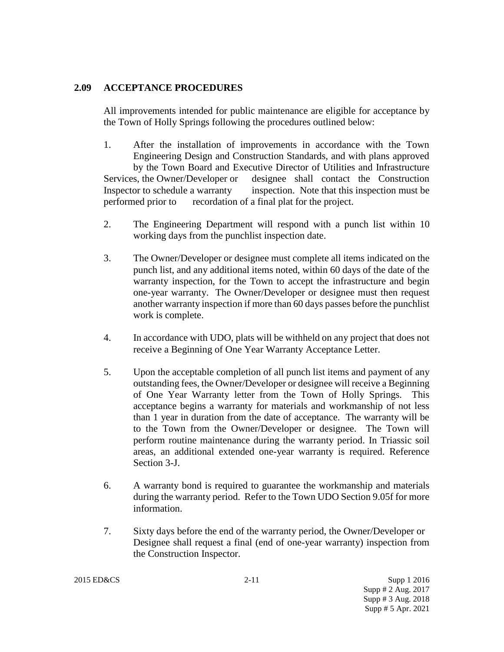## **2.09 ACCEPTANCE PROCEDURES**

All improvements intended for public maintenance are eligible for acceptance by the Town of Holly Springs following the procedures outlined below:

- 1. After the installation of improvements in accordance with the Town Engineering Design and Construction Standards, and with plans approved by the Town Board and Executive Director of Utilities and Infrastructure Services, the Owner/Developer or designee shall contact the Construction Inspector to schedule a warranty inspection. Note that this inspection must be performed prior to recordation of a final plat for the project.
- 2. The Engineering Department will respond with a punch list within 10 working days from the punchlist inspection date.
- 3. The Owner/Developer or designee must complete all items indicated on the punch list, and any additional items noted, within 60 days of the date of the warranty inspection, for the Town to accept the infrastructure and begin one-year warranty. The Owner/Developer or designee must then request another warranty inspection if more than 60 days passes before the punchlist work is complete.
- 4. In accordance with UDO, plats will be withheld on any project that does not receive a Beginning of One Year Warranty Acceptance Letter.
- 5. Upon the acceptable completion of all punch list items and payment of any outstanding fees, the Owner/Developer or designee will receive a Beginning of One Year Warranty letter from the Town of Holly Springs. This acceptance begins a warranty for materials and workmanship of not less than 1 year in duration from the date of acceptance. The warranty will be to the Town from the Owner/Developer or designee. The Town will perform routine maintenance during the warranty period. In Triassic soil areas, an additional extended one-year warranty is required. Reference Section 3-J.
- 6. A warranty bond is required to guarantee the workmanship and materials during the warranty period. Refer to the Town UDO Section 9.05f for more information.
- 7. Sixty days before the end of the warranty period, the Owner/Developer or Designee shall request a final (end of one-year warranty) inspection from the Construction Inspector.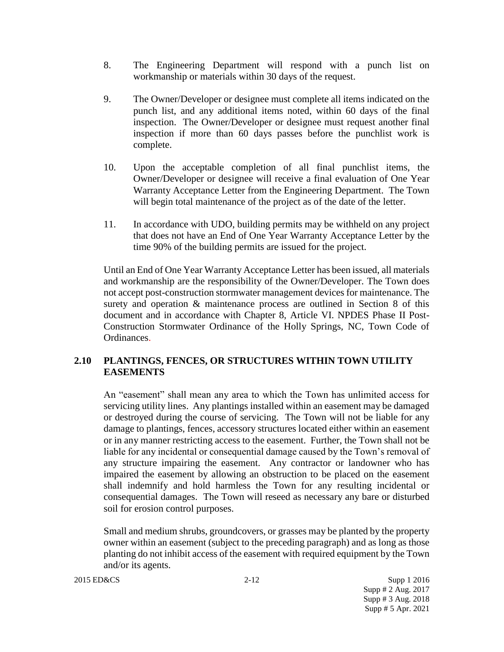- 8. The Engineering Department will respond with a punch list on workmanship or materials within 30 days of the request.
- 9. The Owner/Developer or designee must complete all items indicated on the punch list, and any additional items noted, within 60 days of the final inspection. The Owner/Developer or designee must request another final inspection if more than 60 days passes before the punchlist work is complete.
- 10. Upon the acceptable completion of all final punchlist items, the Owner/Developer or designee will receive a final evaluation of One Year Warranty Acceptance Letter from the Engineering Department. The Town will begin total maintenance of the project as of the date of the letter.
- 11. In accordance with UDO, building permits may be withheld on any project that does not have an End of One Year Warranty Acceptance Letter by the time 90% of the building permits are issued for the project.

Until an End of One Year Warranty Acceptance Letter has been issued, all materials and workmanship are the responsibility of the Owner/Developer. The Town does not accept post-construction stormwater management devices for maintenance. The surety and operation & maintenance process are outlined in Section 8 of this document and in accordance with Chapter 8, Article VI. NPDES Phase II Post-Construction Stormwater Ordinance of the Holly Springs, NC, Town Code of Ordinances.

# **2.10 PLANTINGS, FENCES, OR STRUCTURES WITHIN TOWN UTILITY EASEMENTS**

An "easement" shall mean any area to which the Town has unlimited access for servicing utility lines. Any plantings installed within an easement may be damaged or destroyed during the course of servicing. The Town will not be liable for any damage to plantings, fences, accessory structures located either within an easement or in any manner restricting access to the easement. Further, the Town shall not be liable for any incidental or consequential damage caused by the Town's removal of any structure impairing the easement. Any contractor or landowner who has impaired the easement by allowing an obstruction to be placed on the easement shall indemnify and hold harmless the Town for any resulting incidental or consequential damages. The Town will reseed as necessary any bare or disturbed soil for erosion control purposes.

Small and medium shrubs, groundcovers, or grasses may be planted by the property owner within an easement (subject to the preceding paragraph) and as long as those planting do not inhibit access of the easement with required equipment by the Town and/or its agents.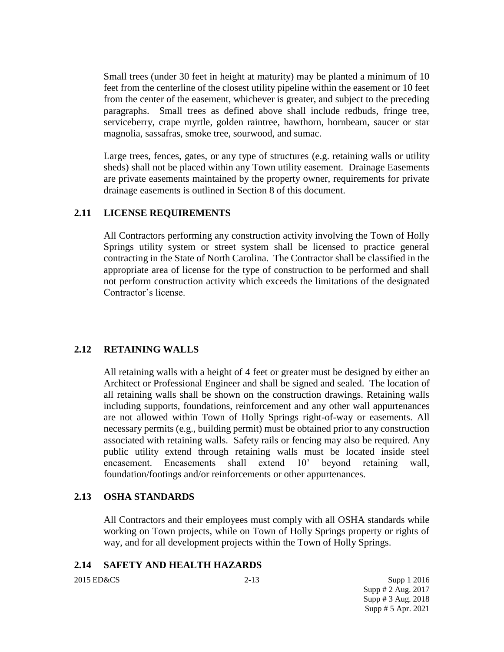Small trees (under 30 feet in height at maturity) may be planted a minimum of 10 feet from the centerline of the closest utility pipeline within the easement or 10 feet from the center of the easement, whichever is greater, and subject to the preceding paragraphs. Small trees as defined above shall include redbuds, fringe tree, serviceberry, crape myrtle, golden raintree, hawthorn, hornbeam, saucer or star magnolia, sassafras, smoke tree, sourwood, and sumac.

Large trees, fences, gates, or any type of structures (e.g. retaining walls or utility sheds) shall not be placed within any Town utility easement. Drainage Easements are private easements maintained by the property owner, requirements for private drainage easements is outlined in Section 8 of this document.

## **2.11 LICENSE REQUIREMENTS**

All Contractors performing any construction activity involving the Town of Holly Springs utility system or street system shall be licensed to practice general contracting in the State of North Carolina. The Contractor shall be classified in the appropriate area of license for the type of construction to be performed and shall not perform construction activity which exceeds the limitations of the designated Contractor's license.

## **2.12 RETAINING WALLS**

All retaining walls with a height of 4 feet or greater must be designed by either an Architect or Professional Engineer and shall be signed and sealed. The location of all retaining walls shall be shown on the construction drawings. Retaining walls including supports, foundations, reinforcement and any other wall appurtenances are not allowed within Town of Holly Springs right-of-way or easements. All necessary permits (e.g., building permit) must be obtained prior to any construction associated with retaining walls. Safety rails or fencing may also be required. Any public utility extend through retaining walls must be located inside steel encasement. Encasements shall extend 10' beyond retaining wall, foundation/footings and/or reinforcements or other appurtenances.

### **2.13 OSHA STANDARDS**

All Contractors and their employees must comply with all OSHA standards while working on Town projects, while on Town of Holly Springs property or rights of way, and for all development projects within the Town of Holly Springs.

### **2.14 SAFETY AND HEALTH HAZARDS**

2015 ED&CS 2-13 Supp 1 2016 Supp # 2 Aug. 2017 Supp # 3 Aug. 2018 Supp # 5 Apr. 2021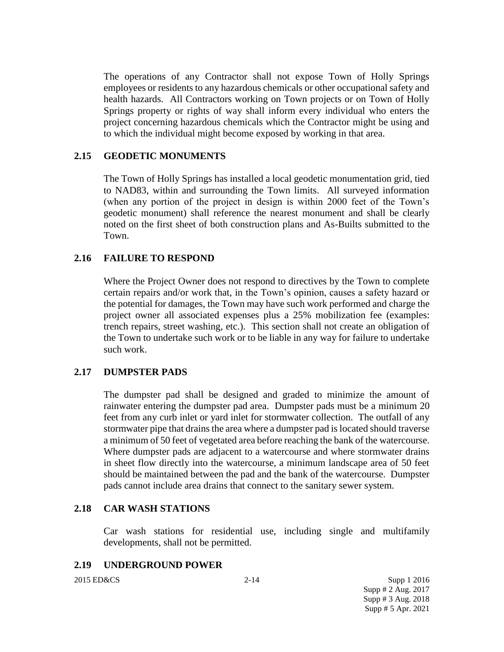The operations of any Contractor shall not expose Town of Holly Springs employees or residents to any hazardous chemicals or other occupational safety and health hazards. All Contractors working on Town projects or on Town of Holly Springs property or rights of way shall inform every individual who enters the project concerning hazardous chemicals which the Contractor might be using and to which the individual might become exposed by working in that area.

## **2.15 GEODETIC MONUMENTS**

The Town of Holly Springs has installed a local geodetic monumentation grid, tied to NAD83, within and surrounding the Town limits. All surveyed information (when any portion of the project in design is within 2000 feet of the Town's geodetic monument) shall reference the nearest monument and shall be clearly noted on the first sheet of both construction plans and As-Builts submitted to the Town.

### **2.16 FAILURE TO RESPOND**

Where the Project Owner does not respond to directives by the Town to complete certain repairs and/or work that, in the Town's opinion, causes a safety hazard or the potential for damages, the Town may have such work performed and charge the project owner all associated expenses plus a 25% mobilization fee (examples: trench repairs, street washing, etc.). This section shall not create an obligation of the Town to undertake such work or to be liable in any way for failure to undertake such work.

### **2.17 DUMPSTER PADS**

The dumpster pad shall be designed and graded to minimize the amount of rainwater entering the dumpster pad area. Dumpster pads must be a minimum 20 feet from any curb inlet or yard inlet for stormwater collection. The outfall of any stormwater pipe that drains the area where a dumpster pad is located should traverse a minimum of 50 feet of vegetated area before reaching the bank of the watercourse. Where dumpster pads are adjacent to a watercourse and where stormwater drains in sheet flow directly into the watercourse, a minimum landscape area of 50 feet should be maintained between the pad and the bank of the watercourse. Dumpster pads cannot include area drains that connect to the sanitary sewer system.

### **2.18 CAR WASH STATIONS**

Car wash stations for residential use, including single and multifamily developments, shall not be permitted.

### **2.19 UNDERGROUND POWER**

2015 ED&CS 2-14 Supp 1 2016 Supp # 2 Aug. 2017 Supp # 3 Aug. 2018 Supp # 5 Apr. 2021